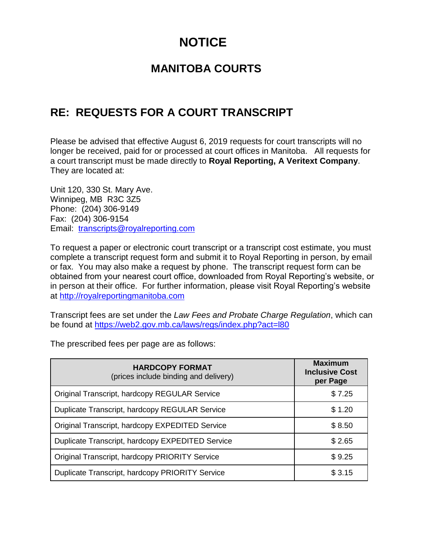## **NOTICE**

## **MANITOBA COURTS**

## **RE: REQUESTS FOR A COURT TRANSCRIPT**

Please be advised that effective August 6, 2019 requests for court transcripts will no longer be received, paid for or processed at court offices in Manitoba. All requests for a court transcript must be made directly to **Royal Reporting, A Veritext Company**. They are located at:

Unit 120, 330 St. Mary Ave. Winnipeg, MB R3C 3Z5 Phone: (204) 306-9149 Fax: (204) 306-9154 Email: [transcripts@royalreporting.com](mailto:transcripts@royalreporting.com)

To request a paper or electronic court transcript or a transcript cost estimate, you must complete a transcript request form and submit it to Royal Reporting in person, by email or fax. You may also make a request by phone. The transcript request form can be obtained from your nearest court office, downloaded from Royal Reporting's website, or in person at their office. For further information, please visit Royal Reporting's website at [http://royalreportingmanitoba.com](http://royalreportingmanitoba.com/)

Transcript fees are set under the *Law Fees and Probate Charge Regulation*, which can be found at<https://web2.gov.mb.ca/laws/regs/index.php?act=l80>

The prescribed fees per page are as follows:

| <b>HARDCOPY FORMAT</b><br>(prices include binding and delivery) | <b>Maximum</b><br><b>Inclusive Cost</b><br>per Page |
|-----------------------------------------------------------------|-----------------------------------------------------|
| Original Transcript, hardcopy REGULAR Service                   | \$7.25                                              |
| Duplicate Transcript, hardcopy REGULAR Service                  | \$1.20                                              |
| Original Transcript, hardcopy EXPEDITED Service                 | \$8.50                                              |
| Duplicate Transcript, hardcopy EXPEDITED Service                | \$2.65                                              |
| Original Transcript, hardcopy PRIORITY Service                  | \$9.25                                              |
| Duplicate Transcript, hardcopy PRIORITY Service                 | \$3.15                                              |